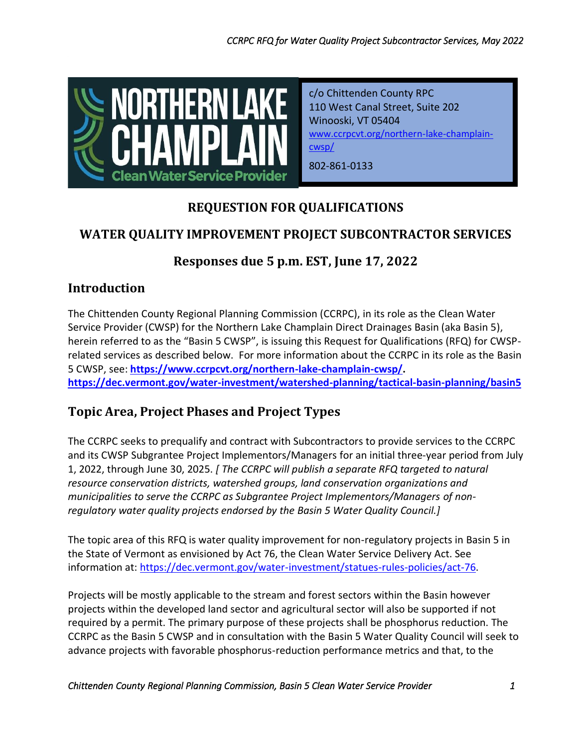

c/o Chittenden County RPC 110 West Canal Street, Suite 202 Winooski, VT 05404 [www.ccrpcvt.org/northern-lake-champlain](http://www.ccrpcvt.org/northern-lake-champlain-cwsp/)[cwsp/](http://www.ccrpcvt.org/northern-lake-champlain-cwsp/)

802-861-0133

# **REQUESTION FOR QUALIFICATIONS**

# **WATER QUALITY IMPROVEMENT PROJECT SUBCONTRACTOR SERVICES**

# **Responses due 5 p.m. EST, June 17, 2022**

## **Introduction**

The Chittenden County Regional Planning Commission (CCRPC), in its role as the Clean Water Service Provider (CWSP) for the Northern Lake Champlain Direct Drainages Basin (aka Basin 5), herein referred to as the "Basin 5 CWSP", is issuing this Request for Qualifications (RFQ) for CWSPrelated services as described below. For more information about the CCRPC in its role as the Basin 5 CWSP, see: **[https://www.ccrpcvt.org/northern-lake-champlain-cwsp/.](https://www.ccrpcvt.org/northern-lake-champlain-cwsp/) <https://dec.vermont.gov/water-investment/watershed-planning/tactical-basin-planning/basin5>**

# **Topic Area, Project Phases and Project Types**

The CCRPC seeks to prequalify and contract with Subcontractors to provide services to the CCRPC and its CWSP Subgrantee Project Implementors/Managers for an initial three-year period from July 1, 2022, through June 30, 2025. *[ The CCRPC will publish a separate RFQ targeted to natural resource conservation districts, watershed groups, land conservation organizations and municipalities to serve the CCRPC as Subgrantee Project Implementors/Managers of nonregulatory water quality projects endorsed by the Basin 5 Water Quality Council.]*

The topic area of this RFQ is water quality improvement for non-regulatory projects in Basin 5 in the State of Vermont as envisioned by Act 76, the Clean Water Service Delivery Act. See information at: [https://dec.vermont.gov/water-investment/statues-rules-policies/act-76.](https://dec.vermont.gov/water-investment/statues-rules-policies/act-76)

Projects will be mostly applicable to the stream and forest sectors within the Basin however projects within the developed land sector and agricultural sector will also be supported if not required by a permit. The primary purpose of these projects shall be phosphorus reduction. The CCRPC as the Basin 5 CWSP and in consultation with the Basin 5 Water Quality Council will seek to advance projects with favorable phosphorus-reduction performance metrics and that, to the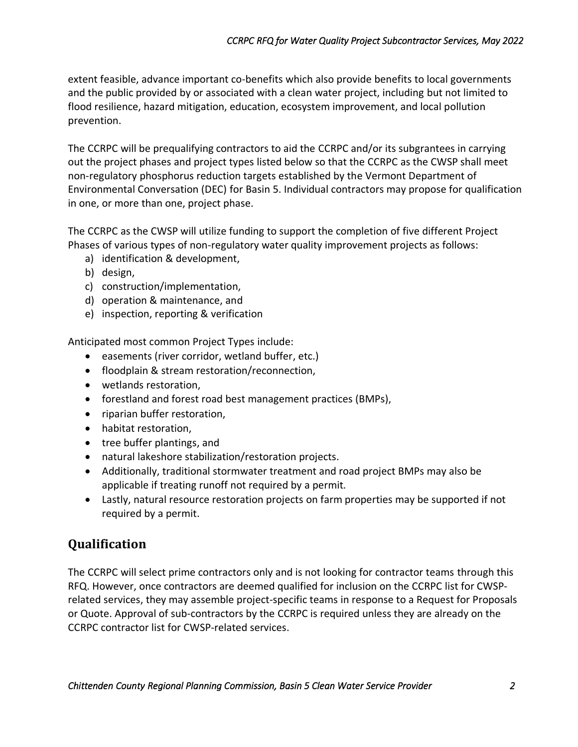extent feasible, advance important co-benefits which also provide benefits to local governments and the public provided by or associated with a clean water project, including but not limited to flood resilience, hazard mitigation, education, ecosystem improvement, and local pollution prevention.

The CCRPC will be prequalifying contractors to aid the CCRPC and/or its subgrantees in carrying out the project phases and project types listed below so that the CCRPC as the CWSP shall meet non-regulatory phosphorus reduction targets established by the Vermont Department of Environmental Conversation (DEC) for Basin 5. Individual contractors may propose for qualification in one, or more than one, project phase.

The CCRPC as the CWSP will utilize funding to support the completion of five different Project Phases of various types of non-regulatory water quality improvement projects as follows:

- a) identification & development,
- b) design,
- c) construction/implementation,
- d) operation & maintenance, and
- e) inspection, reporting & verification

Anticipated most common Project Types include:

- easements (river corridor, wetland buffer, etc.)
- floodplain & stream restoration/reconnection,
- wetlands restoration,
- forestland and forest road best management practices (BMPs),
- riparian buffer restoration,
- habitat restoration,
- tree buffer plantings, and
- natural lakeshore stabilization/restoration projects.
- Additionally, traditional stormwater treatment and road project BMPs may also be applicable if treating runoff not required by a permit.
- Lastly, natural resource restoration projects on farm properties may be supported if not required by a permit.

## **Qualification**

The CCRPC will select prime contractors only and is not looking for contractor teams through this RFQ. However, once contractors are deemed qualified for inclusion on the CCRPC list for CWSPrelated services, they may assemble project-specific teams in response to a Request for Proposals or Quote. Approval of sub-contractors by the CCRPC is required unless they are already on the CCRPC contractor list for CWSP-related services.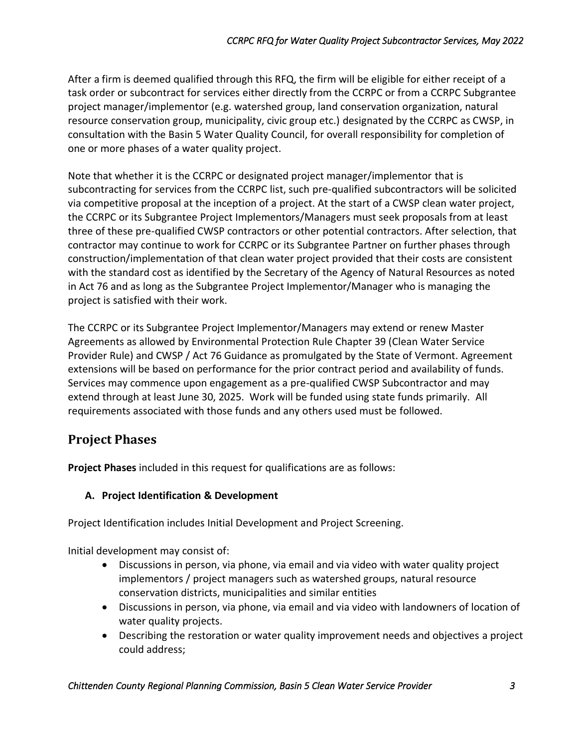After a firm is deemed qualified through this RFQ, the firm will be eligible for either receipt of a task order or subcontract for services either directly from the CCRPC or from a CCRPC Subgrantee project manager/implementor (e.g. watershed group, land conservation organization, natural resource conservation group, municipality, civic group etc.) designated by the CCRPC as CWSP, in consultation with the Basin 5 Water Quality Council, for overall responsibility for completion of one or more phases of a water quality project.

Note that whether it is the CCRPC or designated project manager/implementor that is subcontracting for services from the CCRPC list, such pre-qualified subcontractors will be solicited via competitive proposal at the inception of a project. At the start of a CWSP clean water project, the CCRPC or its Subgrantee Project Implementors/Managers must seek proposals from at least three of these pre-qualified CWSP contractors or other potential contractors. After selection, that contractor may continue to work for CCRPC or its Subgrantee Partner on further phases through construction/implementation of that clean water project provided that their costs are consistent with the standard cost as identified by the Secretary of the Agency of Natural Resources as noted in Act 76 and as long as the Subgrantee Project Implementor/Manager who is managing the project is satisfied with their work.

The CCRPC or its Subgrantee Project Implementor/Managers may extend or renew Master Agreements as allowed by Environmental Protection Rule Chapter 39 (Clean Water Service Provider Rule) and CWSP / Act 76 Guidance as promulgated by the State of Vermont. Agreement extensions will be based on performance for the prior contract period and availability of funds. Services may commence upon engagement as a pre-qualified CWSP Subcontractor and may extend through at least June 30, 2025. Work will be funded using state funds primarily. All requirements associated with those funds and any others used must be followed.

# **Project Phases**

**Project Phases** included in this request for qualifications are as follows:

### **A. Project Identification & Development**

Project Identification includes Initial Development and Project Screening.

Initial development may consist of:

- Discussions in person, via phone, via email and via video with water quality project implementors / project managers such as watershed groups, natural resource conservation districts, municipalities and similar entities
- Discussions in person, via phone, via email and via video with landowners of location of water quality projects.
- Describing the restoration or water quality improvement needs and objectives a project could address;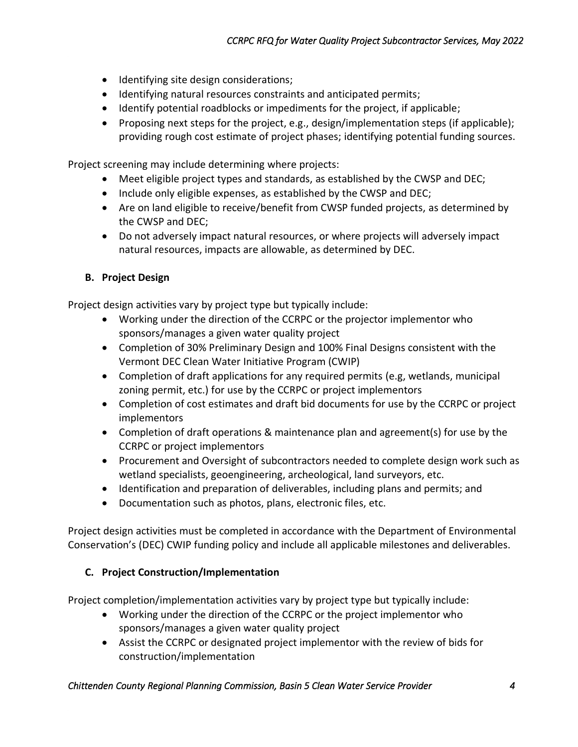- Identifying site design considerations;
- Identifying natural resources constraints and anticipated permits;
- Identify potential roadblocks or impediments for the project, if applicable;
- Proposing next steps for the project, e.g., design/implementation steps (if applicable); providing rough cost estimate of project phases; identifying potential funding sources.

Project screening may include determining where projects:

- Meet eligible project types and standards, as established by the CWSP and DEC;
- Include only eligible expenses, as established by the CWSP and DEC;
- Are on land eligible to receive/benefit from CWSP funded projects, as determined by the CWSP and DEC;
- Do not adversely impact natural resources, or where projects will adversely impact natural resources, impacts are allowable, as determined by DEC.

#### **B. Project Design**

Project design activities vary by project type but typically include:

- Working under the direction of the CCRPC or the projector implementor who sponsors/manages a given water quality project
- Completion of 30% Preliminary Design and 100% Final Designs consistent with the Vermont DEC Clean Water Initiative Program (CWIP)
- Completion of draft applications for any required permits (e.g, wetlands, municipal zoning permit, etc.) for use by the CCRPC or project implementors
- Completion of cost estimates and draft bid documents for use by the CCRPC or project implementors
- Completion of draft operations & maintenance plan and agreement(s) for use by the CCRPC or project implementors
- Procurement and Oversight of subcontractors needed to complete design work such as wetland specialists, geoengineering, archeological, land surveyors, etc.
- Identification and preparation of deliverables, including plans and permits; and
- Documentation such as photos, plans, electronic files, etc.

Project design activities must be completed in accordance with the Department of Environmental Conservation's (DEC) CWIP funding policy and include all applicable milestones and deliverables.

#### **C. Project Construction/Implementation**

Project completion/implementation activities vary by project type but typically include:

- Working under the direction of the CCRPC or the project implementor who sponsors/manages a given water quality project
- Assist the CCRPC or designated project implementor with the review of bids for construction/implementation

#### *Chittenden County Regional Planning Commission, Basin 5 Clean Water Service Provider 4*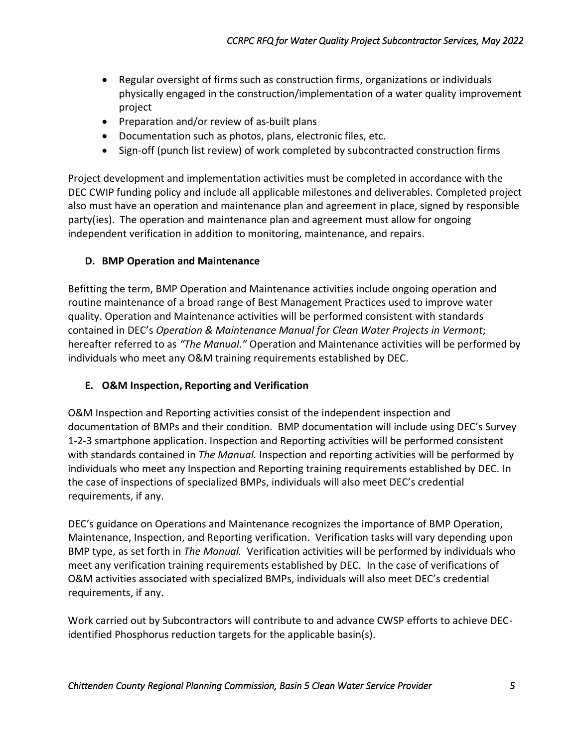- Regular oversight of firms such as construction firms, organizations or individuals physically engaged in the construction/implementation of a water quality improvement project
- Preparation and/or review of as-built plans
- Documentation such as photos, plans, electronic files, etc.
- Sign-off (punch list review) of work completed by subcontracted construction firms

Project development and implementation activities must be completed in accordance with the DEC CWIP funding policy and include all applicable milestones and deliverables. Completed project also must have an operation and maintenance plan and agreement in place, signed by responsible party(ies). The operation and maintenance plan and agreement must allow for ongoing independent verification in addition to monitoring, maintenance, and repairs.

### **D. BMP Operation and Maintenance**

Befitting the term, BMP Operation and Maintenance activities include ongoing operation and routine maintenance of a broad range of Best Management Practices used to improve water quality. Operation and Maintenance activities will be performed consistent with standards contained in DEC's *Operation & Maintenance Manual for Clean Water Projects in Vermont*; hereafter referred to as *"The Manual."* Operation and Maintenance activities will be performed by individuals who meet any O&M training requirements established by DEC.

### **E. O&M Inspection, Reporting and Verification**

O&M Inspection and Reporting activities consist of the independent inspection and documentation of BMPs and their condition. BMP documentation will include using DEC's Survey 1-2-3 smartphone application. Inspection and Reporting activities will be performed consistent with standards contained in *The Manual.* Inspection and reporting activities will be performed by individuals who meet any Inspection and Reporting training requirements established by DEC. In the case of inspections of specialized BMPs, individuals will also meet DEC's credential requirements, if any.

DEC's guidance on Operations and Maintenance recognizes the importance of BMP Operation, Maintenance, Inspection, and Reporting verification. Verification tasks will vary depending upon BMP type, as set forth in *The Manual.* Verification activities will be performed by individuals who meet any verification training requirements established by DEC. In the case of verifications of O&M activities associated with specialized BMPs, individuals will also meet DEC's credential requirements, if any.

Work carried out by Subcontractors will contribute to and advance CWSP efforts to achieve DECidentified Phosphorus reduction targets for the applicable basin(s).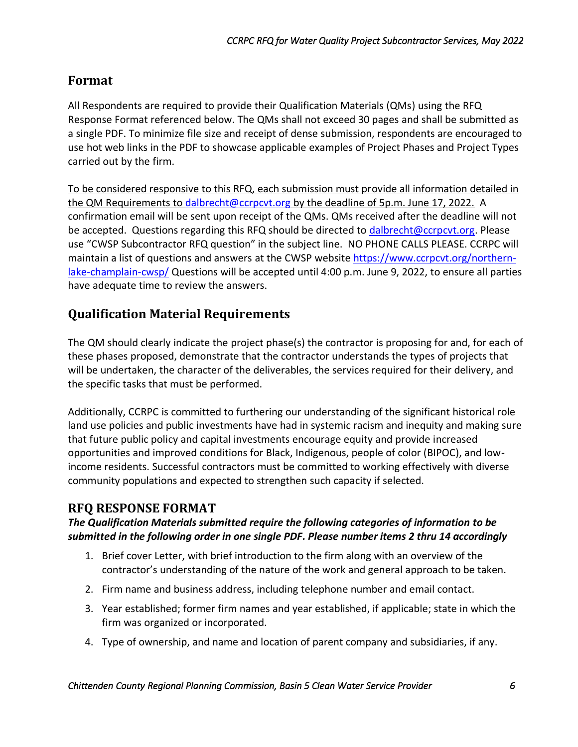## **Format**

All Respondents are required to provide their Qualification Materials (QMs) using the RFQ Response Format referenced below. The QMs shall not exceed 30 pages and shall be submitted as a single PDF. To minimize file size and receipt of dense submission, respondents are encouraged to use hot web links in the PDF to showcase applicable examples of Project Phases and Project Types carried out by the firm.

To be considered responsive to this RFQ, each submission must provide all information detailed in the QM Requirements to [dalbrecht@ccrpcvt.org](mailto:dalbrecht@ccrpcvt.org) by the deadline of 5p.m. June 17, 2022. A confirmation email will be sent upon receipt of the QMs. QMs received after the deadline will not be accepted. Questions regarding this RFQ should be directed to [dalbrecht@ccrpcvt.org.](mailto:dalbrecht@ccrpcvt.org) Please use "CWSP Subcontractor RFQ question" in the subject line. NO PHONE CALLS PLEASE. CCRPC will maintain a list of questions and answers at the CWSP website [https://www.ccrpcvt.org/northern](https://www.ccrpcvt.org/northern-lake-champlain-cwsp/)[lake-champlain-cwsp/](https://www.ccrpcvt.org/northern-lake-champlain-cwsp/) Questions will be accepted until 4:00 p.m. June 9, 2022, to ensure all parties have adequate time to review the answers.

## **Qualification Material Requirements**

The QM should clearly indicate the project phase(s) the contractor is proposing for and, for each of these phases proposed, demonstrate that the contractor understands the types of projects that will be undertaken, the character of the deliverables, the services required for their delivery, and the specific tasks that must be performed.

Additionally, CCRPC is committed to furthering our understanding of the significant historical role land use policies and public investments have had in systemic racism and inequity and making sure that future public policy and capital investments encourage equity and provide increased opportunities and improved conditions for Black, Indigenous, people of color (BIPOC), and lowincome residents. Successful contractors must be committed to working effectively with diverse community populations and expected to strengthen such capacity if selected.

## **RFQ RESPONSE FORMAT**

### *The Qualification Materials submitted require the following categories of information to be submitted in the following order in one single PDF. Please number items 2 thru 14 accordingly*

- 1. Brief cover Letter, with brief introduction to the firm along with an overview of the contractor's understanding of the nature of the work and general approach to be taken.
- 2. Firm name and business address, including telephone number and email contact.
- 3. Year established; former firm names and year established, if applicable; state in which the firm was organized or incorporated.
- 4. Type of ownership, and name and location of parent company and subsidiaries, if any.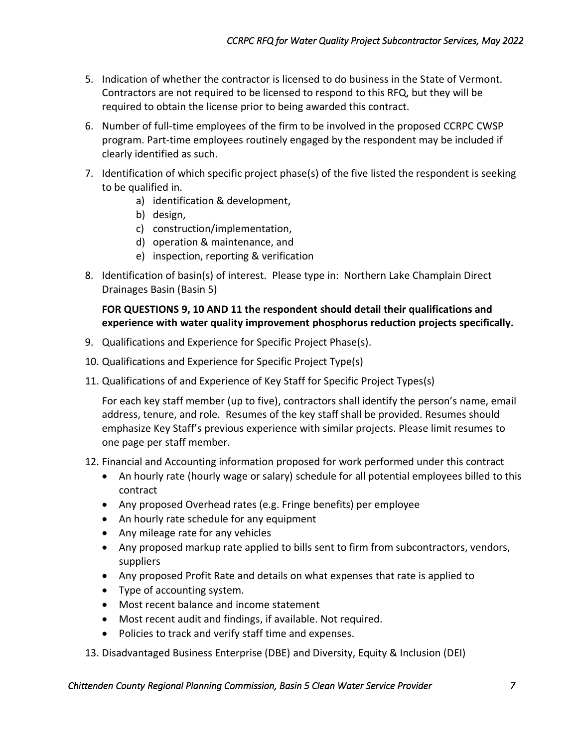- 5. Indication of whether the contractor is licensed to do business in the State of Vermont. Contractors are not required to be licensed to respond to this RFQ, but they will be required to obtain the license prior to being awarded this contract.
- 6. Number of full-time employees of the firm to be involved in the proposed CCRPC CWSP program. Part-time employees routinely engaged by the respondent may be included if clearly identified as such.
- 7. Identification of which specific project phase(s) of the five listed the respondent is seeking to be qualified in.
	- a) identification & development,
	- b) design,
	- c) construction/implementation,
	- d) operation & maintenance, and
	- e) inspection, reporting & verification
- 8. Identification of basin(s) of interest. Please type in: Northern Lake Champlain Direct Drainages Basin (Basin 5)

#### **FOR QUESTIONS 9, 10 AND 11 the respondent should detail their qualifications and experience with water quality improvement phosphorus reduction projects specifically.**

- 9. Qualifications and Experience for Specific Project Phase(s).
- 10. Qualifications and Experience for Specific Project Type(s)
- 11. Qualifications of and Experience of Key Staff for Specific Project Types(s)

For each key staff member (up to five), contractors shall identify the person's name, email address, tenure, and role. Resumes of the key staff shall be provided. Resumes should emphasize Key Staff's previous experience with similar projects. Please limit resumes to one page per staff member.

- 12. Financial and Accounting information proposed for work performed under this contract
	- An hourly rate (hourly wage or salary) schedule for all potential employees billed to this contract
	- Any proposed Overhead rates (e.g. Fringe benefits) per employee
	- An hourly rate schedule for any equipment
	- Any mileage rate for any vehicles
	- Any proposed markup rate applied to bills sent to firm from subcontractors, vendors, suppliers
	- Any proposed Profit Rate and details on what expenses that rate is applied to
	- Type of accounting system.
	- Most recent balance and income statement
	- Most recent audit and findings, if available. Not required.
	- Policies to track and verify staff time and expenses.
- 13. Disadvantaged Business Enterprise (DBE) and Diversity, Equity & Inclusion (DEI)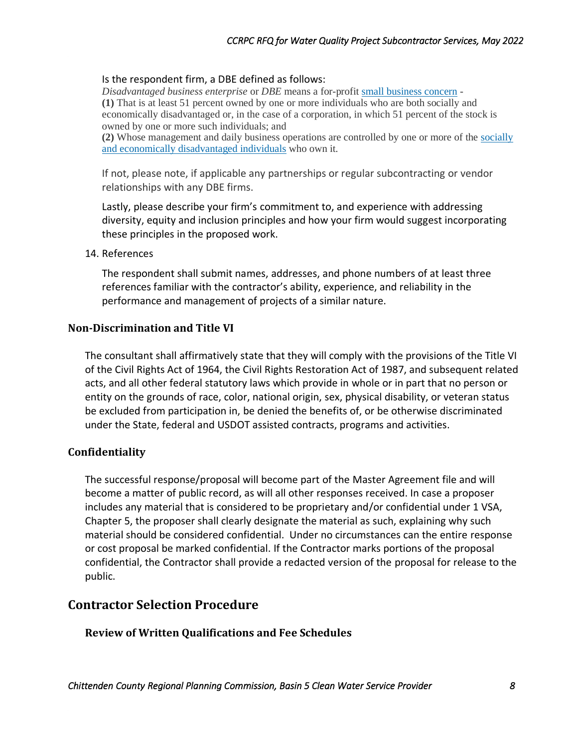#### Is the respondent firm, a DBE defined as follows:

*Disadvantaged business enterprise* or *DBE* means a for-profit [small business concern](https://www.law.cornell.edu/definitions/index.php?width=840&height=800&iframe=true&def_id=dce12c8ef00c08bfcebb921cfa334a05&term_occur=999&term_src=Title:49:Chapter:A:Part:26:Subpart:A:26.5) - **(1)** That is at least 51 percent owned by one or more individuals who are both socially and economically disadvantaged or, in the case of a corporation, in which 51 percent of the stock is owned by one or more such individuals; and

**(2)** Whose management and daily business operations are controlled by one or more of the [socially](https://www.law.cornell.edu/definitions/index.php?width=840&height=800&iframe=true&def_id=acf5ae04147fc4d2351a22f4bf254510&term_occur=999&term_src=Title:49:Chapter:A:Part:26:Subpart:A:26.5)  [and economically disadvantaged individuals](https://www.law.cornell.edu/definitions/index.php?width=840&height=800&iframe=true&def_id=acf5ae04147fc4d2351a22f4bf254510&term_occur=999&term_src=Title:49:Chapter:A:Part:26:Subpart:A:26.5) who own it.

If not, please note, if applicable any partnerships or regular subcontracting or vendor relationships with any DBE firms.

Lastly, please describe your firm's commitment to, and experience with addressing diversity, equity and inclusion principles and how your firm would suggest incorporating these principles in the proposed work.

#### 14. References

The respondent shall submit names, addresses, and phone numbers of at least three references familiar with the contractor's ability, experience, and reliability in the performance and management of projects of a similar nature.

#### **Non-Discrimination and Title VI**

The consultant shall affirmatively state that they will comply with the provisions of the Title VI of the Civil Rights Act of 1964, the Civil Rights Restoration Act of 1987, and subsequent related acts, and all other federal statutory laws which provide in whole or in part that no person or entity on the grounds of race, color, national origin, sex, physical disability, or veteran status be excluded from participation in, be denied the benefits of, or be otherwise discriminated under the State, federal and USDOT assisted contracts, programs and activities.

#### **Confidentiality**

The successful response/proposal will become part of the Master Agreement file and will become a matter of public record, as will all other responses received. In case a proposer includes any material that is considered to be proprietary and/or confidential under 1 VSA, Chapter 5, the proposer shall clearly designate the material as such, explaining why such material should be considered confidential. Under no circumstances can the entire response or cost proposal be marked confidential. If the Contractor marks portions of the proposal confidential, the Contractor shall provide a redacted version of the proposal for release to the public.

### **Contractor Selection Procedure**

**Review of Written Qualifications and Fee Schedules**